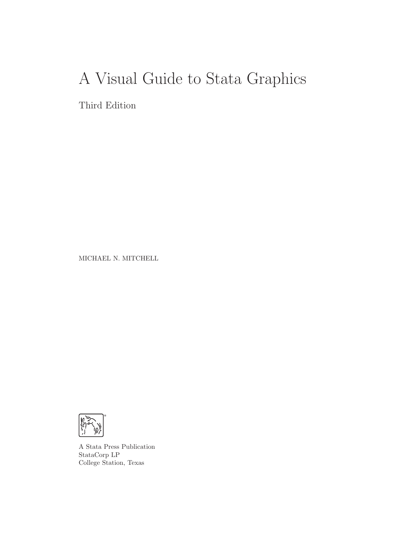# A Visual Guide to Stata Graphics

Third Edition

MICHAEL N. MITCHELL



A Stata Press Publication StataCorp LP College Station, Texas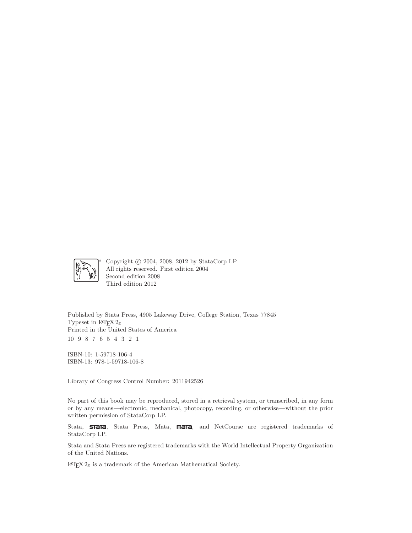

Copyright © 2004, 2008, 2012 by StataCorp LP All rights reserved. First edition 2004 Second edition 2008 Third edition 2012

Published by Stata Press, 4905 Lakeway Drive, College Station, Texas 77845 Typeset in LATEX  $2\varepsilon$ Printed in the United States of America 10 9 8 7 6 5 4 3 2 1

ISBN-10: 1-59718-106-4 ISBN-13: 978-1-59718-106-8

Library of Congress Control Number: 2011942526

No part of this book may be reproduced, stored in a retrieval system, or transcribed, in any form or by any means—electronic, mechanical, photocopy, recording, or otherwise—without the prior written permission of StataCorp LP.

Stata, **Stata**, Stata Press, Mata, **mata**, and NetCourse are registered trademarks of StataCorp LP.

Stata and Stata Press are registered trademarks with the World Intellectual Property Organization of the United Nations.

 $\mathbb{F}\to \mathbb{F}$ 2 $\varepsilon$  is a trademark of the American Mathematical Society.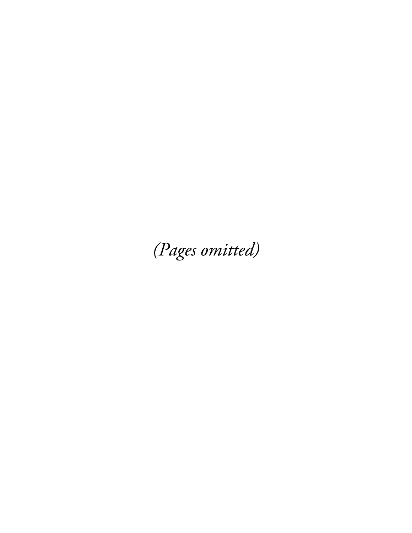(Pages omitted)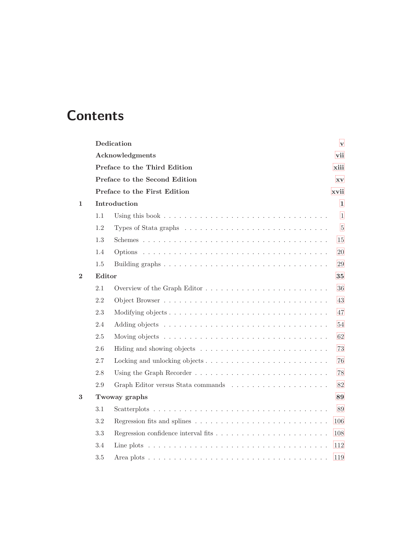# **Contents**

|          | Dedication          |                                                                                                  | $\mathbf{V}$   |  |  |
|----------|---------------------|--------------------------------------------------------------------------------------------------|----------------|--|--|
|          |                     | Acknowledgments                                                                                  | vii<br>xiii    |  |  |
|          |                     | Preface to the Third Edition                                                                     |                |  |  |
|          |                     | Preface to the Second Edition                                                                    | XV             |  |  |
|          |                     | Preface to the First Edition                                                                     | xvii           |  |  |
| 1        |                     | Introduction                                                                                     | 1              |  |  |
|          | 1.1                 |                                                                                                  | $\mathbf{1}$   |  |  |
|          | 1.2                 | Types of Stata graphs $\dots \dots \dots \dots \dots \dots \dots \dots \dots \dots \dots$        | $\overline{5}$ |  |  |
|          | 1.3                 |                                                                                                  | 15             |  |  |
|          | 1.4                 |                                                                                                  | 20             |  |  |
|          | 1.5                 |                                                                                                  | 29             |  |  |
| $\bf{2}$ | Editor              |                                                                                                  | 35             |  |  |
|          | 2.1                 |                                                                                                  | 36             |  |  |
|          | 2.2                 |                                                                                                  | 43             |  |  |
|          | 2.3                 |                                                                                                  | 47             |  |  |
|          | 2.4                 |                                                                                                  | 54             |  |  |
|          | 2.5                 |                                                                                                  | 62             |  |  |
|          | 2.6                 |                                                                                                  | 73             |  |  |
|          | 2.7                 |                                                                                                  | 76             |  |  |
|          | 2.8                 |                                                                                                  | 78             |  |  |
|          | 2.9                 |                                                                                                  | 82             |  |  |
| 3        | 89<br>Twoway graphs |                                                                                                  |                |  |  |
|          | 3.1                 |                                                                                                  | 89             |  |  |
|          | 3.2                 |                                                                                                  | 106            |  |  |
|          | 3.3                 |                                                                                                  | 108            |  |  |
|          | 3.4                 | Line plots $\ldots \ldots \ldots \ldots \ldots \ldots \ldots \ldots \ldots \ldots \ldots \ldots$ | 112            |  |  |
|          | $3.5\,$             |                                                                                                  | 119            |  |  |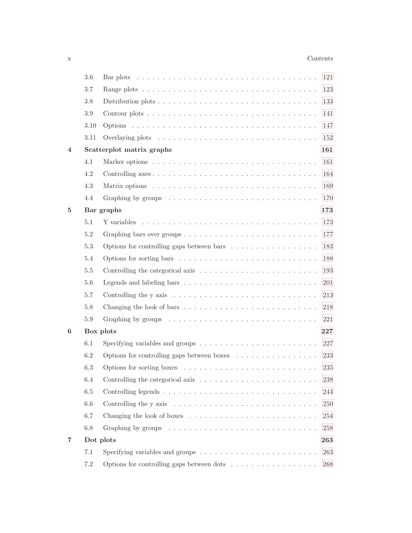|   | $3.6\,$ | 121<br>Bar plots $\ldots \ldots \ldots \ldots \ldots \ldots \ldots \ldots \ldots \ldots \ldots \ldots \ldots$ |
|---|---------|---------------------------------------------------------------------------------------------------------------|
|   | 3.7     | 123                                                                                                           |
|   | $3.8\,$ | 133                                                                                                           |
|   | $3.9\,$ | 141                                                                                                           |
|   | 3.10    | 147                                                                                                           |
|   | 3.11    | 152                                                                                                           |
| 4 |         | Scatterplot matrix graphs<br>161                                                                              |
|   | 4.1     | 161                                                                                                           |
|   | 4.2     | 164                                                                                                           |
|   | 4.3     | 169                                                                                                           |
|   | 4.4     | 170                                                                                                           |
| 5 |         | Bar graphs<br>173                                                                                             |
|   | 5.1     | Y variables $\ldots \ldots \ldots \ldots \ldots \ldots \ldots \ldots \ldots \ldots \ldots \ldots$<br>173      |
|   | 5.2     | 177                                                                                                           |
|   | 5.3     | Options for controlling gaps between bars $\dots \dots \dots \dots \dots$<br>183                              |
|   | 5.4     | 188                                                                                                           |
|   | 5.5     | Controlling the categorical axis $\ldots \ldots \ldots \ldots \ldots \ldots \ldots \ldots$<br>193             |
|   | 5.6     | Legends and labeling bars $\dots \dots \dots \dots \dots \dots \dots \dots \dots \dots$<br>201                |
|   | 5.7     | 213<br>Controlling the y axis $\dots \dots \dots \dots \dots \dots \dots \dots \dots \dots \dots$             |
|   | 5.8     | 218                                                                                                           |
|   | 5.9     | 221<br>Graphing by groups $\dots \dots \dots \dots \dots \dots \dots \dots \dots \dots \dots$                 |
| 6 |         | Box plots<br>227                                                                                              |
|   | 6.1     | 227<br>Specifying variables and groups $\dots \dots \dots \dots \dots \dots \dots \dots$                      |
|   | 6.2     | Options for controlling gaps between boxes $\dots \dots \dots \dots \dots$<br>233                             |
|   | 6.3     | 235                                                                                                           |
|   | 6.4     | Controlling the categorical axis $\ldots \ldots \ldots \ldots \ldots \ldots \ldots \ldots$<br>238             |
|   | $6.5\,$ | 244                                                                                                           |
|   | 6.6     | 250                                                                                                           |
|   | 6.7     | 254<br>Changing the look of boxes $\dots \dots \dots \dots \dots \dots \dots \dots \dots$                     |
|   | 6.8     | 258<br>Graphing by groups $\dots \dots \dots \dots \dots \dots \dots \dots \dots \dots \dots$                 |
| 7 |         | Dot plots<br>263                                                                                              |
|   | 7.1     | Specifying variables and groups $\dots \dots \dots \dots \dots \dots \dots \dots$<br>263                      |
|   | $7.2\,$ | Options for controlling gaps between dots $\dots \dots \dots \dots \dots$<br>268                              |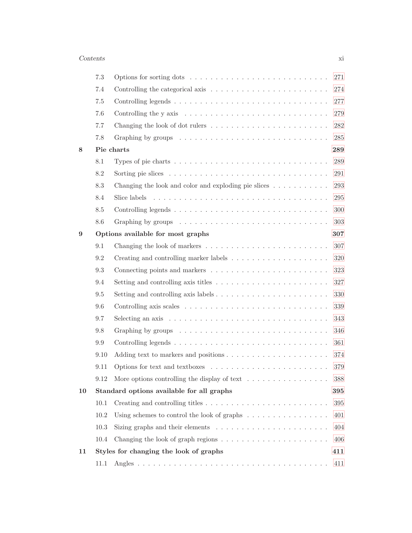#### *Contents* xi

|    | 7.3     |                                                                                               | 271 |
|----|---------|-----------------------------------------------------------------------------------------------|-----|
|    | 7.4     |                                                                                               | 274 |
|    | $7.5\,$ |                                                                                               | 277 |
|    | 7.6     | Controlling the y axis $\dots \dots \dots \dots \dots \dots \dots \dots \dots \dots \dots$    | 279 |
|    | 7.7     |                                                                                               | 282 |
|    | 7.8     |                                                                                               | 285 |
| 8  |         | Pie charts                                                                                    | 289 |
|    | 8.1     | Types of pie charts $\dots \dots \dots \dots \dots \dots \dots \dots \dots \dots \dots \dots$ | 289 |
|    | 8.2     | Sorting pie slices $\ldots \ldots \ldots \ldots \ldots \ldots \ldots \ldots \ldots \ldots$    | 291 |
|    | 8.3     | Changing the look and color and exploding pie slices $\dots \dots \dots$                      | 293 |
|    | 8.4     | Slice labels $\ldots \ldots \ldots \ldots \ldots \ldots \ldots \ldots \ldots \ldots \ldots$   | 295 |
|    | 8.5     |                                                                                               | 300 |
|    | $8.6\,$ |                                                                                               | 303 |
| 9  |         | Options available for most graphs                                                             | 307 |
|    | 9.1     |                                                                                               | 307 |
|    | 9.2     | Creating and controlling marker labels $\ldots \ldots \ldots \ldots \ldots \ldots \ldots$     | 320 |
|    | 9.3     |                                                                                               | 323 |
|    | 9.4     |                                                                                               | 327 |
|    | $9.5\,$ |                                                                                               | 330 |
|    | 9.6     |                                                                                               | 339 |
|    | 9.7     | Selecting an axis $\dots \dots \dots \dots \dots \dots \dots \dots \dots \dots \dots \dots$   | 343 |
|    | 9.8     |                                                                                               | 346 |
|    | 9.9     |                                                                                               | 361 |
|    | 9.10    |                                                                                               | 374 |
|    | 9.11    |                                                                                               | 379 |
|    | 9.12    | More options controlling the display of text $\ldots \ldots \ldots \ldots \ldots$             | 388 |
| 10 |         | Standard options available for all graphs                                                     | 395 |
|    | 10.1    |                                                                                               | 395 |
|    | 10.2    | Using schemes to control the look of graphs $\dots \dots \dots \dots \dots$                   | 401 |
|    | 10.3    | Sizing graphs and their elements $\ldots \ldots \ldots \ldots \ldots \ldots \ldots$           | 404 |
|    | 10.4    | Changing the look of graph regions $\dots \dots \dots \dots \dots \dots \dots$                | 406 |
| 11 |         | Styles for changing the look of graphs                                                        | 411 |
|    | 11.1    |                                                                                               | 411 |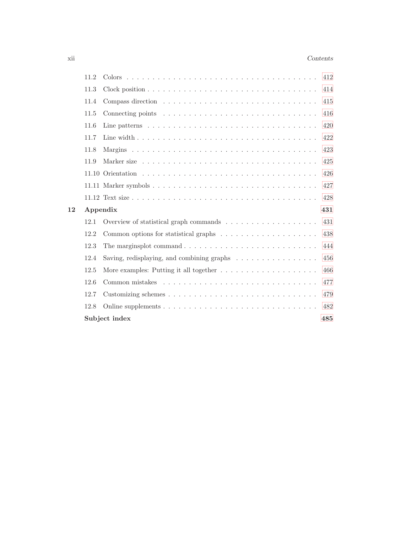|    | 11.2     |                                                                                              | $412\,$ |
|----|----------|----------------------------------------------------------------------------------------------|---------|
|    | 11.3     |                                                                                              | 414     |
|    | 11.4     |                                                                                              | 415     |
|    | 11.5     |                                                                                              | 416     |
|    | 11.6     | Line patterns $\ldots \ldots \ldots \ldots \ldots \ldots \ldots \ldots \ldots \ldots \ldots$ | 420     |
|    | 11.7     |                                                                                              | 422     |
|    | 11.8     |                                                                                              | 423     |
|    | 11.9     |                                                                                              | 425     |
|    |          |                                                                                              | 426     |
|    |          |                                                                                              | 427     |
|    |          |                                                                                              | 428     |
| 12 | Appendix |                                                                                              | 431     |
|    | 12.1     | Overview of statistical graph commands $\ldots \ldots \ldots \ldots \ldots \ldots$           | 431     |
|    | 12.2     |                                                                                              | 438     |
|    | 12.3     | The margins plot command $\ldots \ldots \ldots \ldots \ldots \ldots \ldots \ldots \ldots$    | 444     |
|    | 12.4     | Saving, redisplaying, and combining graphs $\ldots \ldots \ldots \ldots \ldots$              | 456     |
|    | 12.5     | More examples: Putting it all together $\dots \dots \dots \dots \dots \dots \dots$           | 466     |
|    | 12.6     |                                                                                              | 477     |
|    | 12.7     |                                                                                              | 479     |
|    | 12.8     |                                                                                              | 482     |
|    |          | Subject index                                                                                | 485     |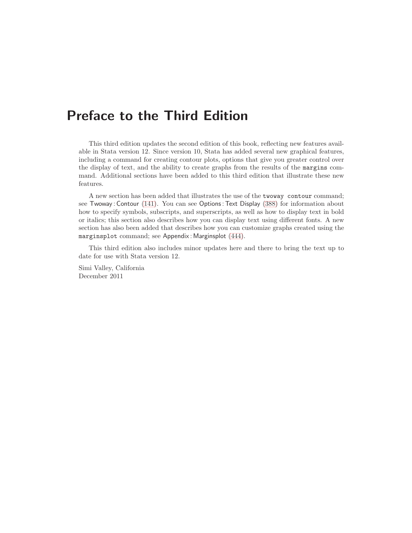# Preface to the Third Edition

This third edition updates the second edition of this book, reflecting new features available in Stata version 12. Since version 10, Stata has added several new graphical features, including a command for creating contour plots, options that give you greater control over the display of text, and the ability to create graphs from the results of the margins command. Additional sections have been added to this third edition that illustrate these new features.

A new section has been added that illustrates the use of the twoway contour command; see Twoway : Contour (141). You can see Options : Text Display (388) for information about how to specify symbols, subscripts, and superscripts, as well as how to display text in bold or italics; this section also describes how you can display text using different fonts. A new section has also been added that describes how you can customize graphs created using the marginsplot command; see Appendix : Marginsplot (444).

This third edition also includes minor updates here and there to bring the text up to date for use with Stata version 12.

Simi Valley, California December 2011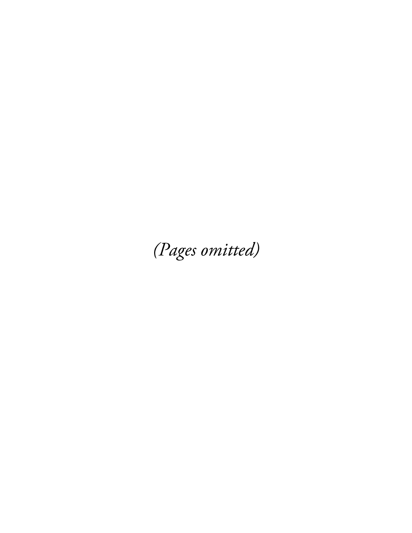(Pages omitted)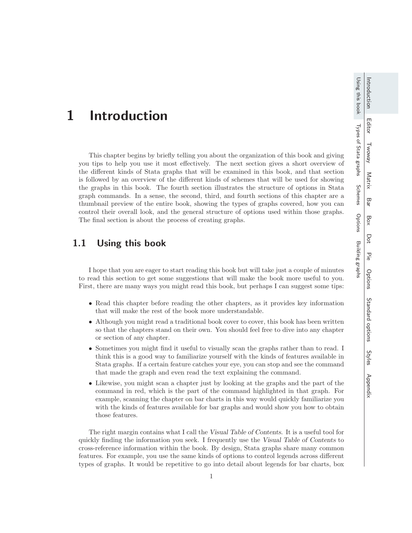This chapter begins by briefly telling you about the organization of this book and giving you tips to help you use it most effectively. The next section gives a short overview of the different kinds of Stata graphs that will be examined in this book, and that section is followed by an overview of the different kinds of schemes that will be used for showing the graphs in this book. The fourth section illustrates the structure of options in Stata graph commands. In a sense, the second, third, and fourth sections of this chapter are a thumbnail preview of the entire book, showing the types of graphs covered, how you can control their overall look, and the general structure of options used within those graphs. The final section is about the process of creating graphs.

### 1.1 Using this book

1 Introduction

I hope that you are eager to start reading this book but will take just a couple of minutes to read this section to get some suggestions that will make the book more useful to you. First, there are many ways you might read this book, but perhaps I can suggest some tips:

- Read this chapter before reading the other chapters, as it provides key information that will make the rest of the book more understandable.
- Although you might read a traditional book cover to cover, this book has been written so that the chapters stand on their own. You should feel free to dive into any chapter or section of any chapter.
- Sometimes you might find it useful to visually scan the graphs rather than to read. I think this is a good way to familiarize yourself with the kinds of features available in Stata graphs. If a certain feature catches your eye, you can stop and see the command that made the graph and even read the text explaining the command.
- Likewise, you might scan a chapter just by looking at the graphs and the part of the command in red, which is the part of the command highlighted in that graph. For example, scanning the chapter on bar charts in this way would quickly familiarize you with the kinds of features available for bar graphs and would show you how to obtain those features.

The right margin contains what I call the *Visual Table of Contents*. It is a useful tool for quickly finding the information you seek. I frequently use the *Visual Table of Contents* to cross-reference information within the book. By design, Stata graphs share many common features. For example, you use the same kinds of options to control legends across different types of graphs. It would be repetitive to go into detail about legends for bar charts, box

Using this book

Using this book

Types of Stata graphs

Types of Stata graphs

Schemes

Schemes

Options

Building

graphs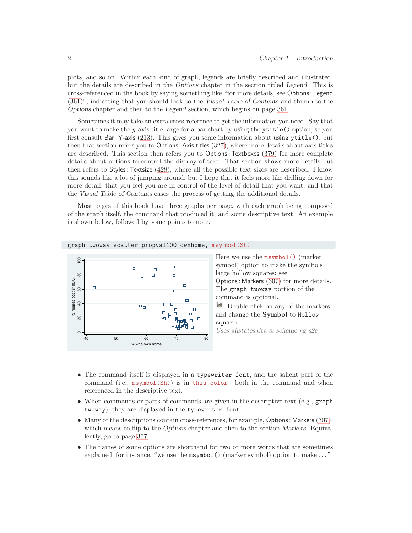plots, and so on. Within each kind of graph, legends are briefly described and illustrated, but the details are described in the *Options* chapter in the section titled *Legend*. This is cross-referenced in the book by saying something like "for more details, see Options : Legend (361)", indicating that you should look to the *Visual Table of Contents* and thumb to the *Options* chapter and then to the *Legend* section, which begins on page 361.

Sometimes it may take an extra cross-reference to get the information you need. Say that you want to make the y-axis title large for a bar chart by using the ytitle() option, so you first consult Bar : Y-axis (213). This gives you some information about using ytitle(), but then that section refers you to Options : Axis titles (327), where more details about axis titles are described. This section then refers you to Options : Textboxes (379) for more complete details about options to control the display of text. That section shows more details but then refers to Styles : Textsize (428), where all the possible text sizes are described. I know this sounds like a lot of jumping around, but I hope that it feels more like drilling down for more detail, that you feel you are in control of the level of detail that you want, and that the *Visual Table of Contents* eases the process of getting the additional details.

Most pages of this book have three graphs per page, with each graph being composed of the graph itself, the command that produced it, and some descriptive text. An example is shown below, followed by some points to note.



Here we use the msymbol() (marker symbol) option to make the symbols large hollow squares; see Options : Markers (307) for more details. The graph twoway portion of the command is optional. Double-click on any of the markers

and change the Symbol to Hollow square.

*Uses allstates.dta & scheme vg s2c*

- The command itself is displayed in a typewriter font, and the salient part of the command (i.e., msymbol(Sh)) is in this color—both in the command and when referenced in the descriptive text.
- When commands or parts of commands are given in the descriptive text (e.g., graph twoway), they are displayed in the typewriter font.
- Many of the descriptions contain cross-references, for example, Options : Markers (307), which means to flip to the *Options* chapter and then to the section *Markers*. Equivalently, go to page 307.
- The names of some options are shorthand for two or more words that are sometimes explained; for instance, "we use the msymbol() (marker symbol) option to make ...".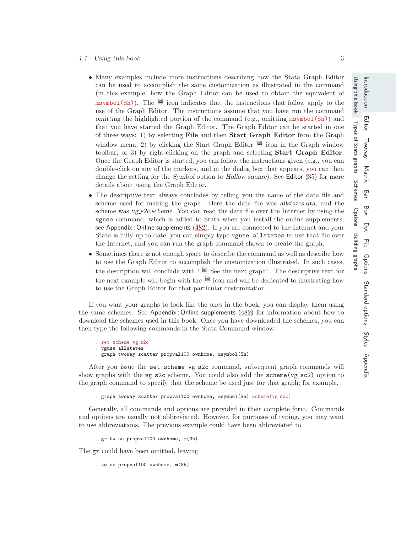#### *1.1 Using this book* 3

- Many examples include more instructions describing how the Stata Graph Editor can be used to accomplish the same customization as illustrated in the command (in this example, how the Graph Editor can be used to obtain the equivalent of msymbol(Sh)). The  $\blacksquare$  icon indicates that the instructions that follow apply to the use of the Graph Editor. The instructions assume that you have run the command *omitting* the highlighted portion of the command (e.g., omitting msymbol(Sh)) and that you have started the Graph Editor. The Graph Editor can be started in one of three ways: 1) by selecting File and then Start Graph Editor from the Graph window menu, 2) by clicking the Start Graph Editor  $\Box$  icon in the Graph window toolbar, or 3) by right-clicking on the graph and selecting Start Graph Editor. Once the Graph Editor is started, you can follow the instructions given (e.g., you can double-click on any of the markers, and in the dialog box that appears, you can then change the setting for the *Symbol* option to *Hollow square*). See Editor (35) for more details about using the Graph Editor.
- The descriptive text always concludes by telling you the name of the data file and scheme used for making the graph. Here the data file was *allstates.dta*, and the scheme was *vg s2c.scheme*. You can read the data file over the Internet by using the vguse command, which is added to Stata when you install the online supplements; see Appendix : Online supplements (482). If you are connected to the Internet and your Stata is fully up to date, you can simply type vguse allstates to use that file over the Internet, and you can run the graph command shown to create the graph.
- Sometimes there is not enough space to describe the command as well as describe how to use the Graph Editor to accomplish the customization illustrated. In such cases, the description will conclude with " $\mathbb{R}$  See the next graph". The descriptive text for the next example will begin with the  $\Box$  icon and will be dedicated to illustrating how to use the Graph Editor for that particular customization.

If you want your graphs to look like the ones in the book, you can display them using the same schemes. See Appendix : Online supplements (482) for information about how to download the schemes used in this book. Once you have downloaded the schemes, you can then type the following commands in the Stata Command window:

```
. set scheme vg_s2c
```

```
. vguse allstates
```
graph twoway scatter propval100 ownhome, msymbol(Sh)

After you issue the set scheme vg s2c command, subsequent graph commands will show graphs with the vg\_s2c scheme. You could also add the scheme(vg\_sc2) option to the graph command to specify that the scheme be used just for that graph; for example,

. graph twoway scatter propval100 ownhome, msymbol(Sh) scheme(vg\_s2c)

Generally, all commands and options are provided in their complete form. Commands and options are usually not abbreviated. However, for purposes of typing, you may want to use abbreviations. The previous example could have been abbreviated to

. gr tw sc propval100 ownhome, m(Sh)

The gr could have been omitted, leaving

```
. tw sc propval100 ownhome, m(Sh)
```
Using this book

Using this book

Types of Stata graphs

Types of Stata graphs

Schemes

Schemes

Options

Building

graphs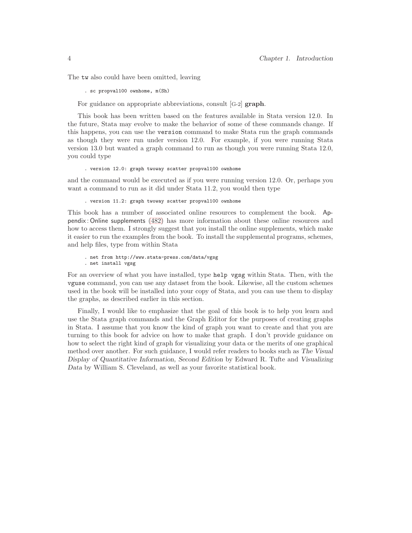The tw also could have been omitted, leaving

. sc propval100 ownhome, m(Sh)

For guidance on appropriate abbreviations, consult [G-2] graph.

This book has been written based on the features available in Stata version 12.0. In the future, Stata may evolve to make the behavior of some of these commands change. If this happens, you can use the version command to make Stata run the graph commands as though they were run under version 12.0. For example, if you were running Stata version 13.0 but wanted a graph command to run as though you were running Stata 12.0, you could type

. version 12.0: graph twoway scatter propval100 ownhome

and the command would be executed as if you were running version 12.0. Or, perhaps you want a command to run as it did under Stata 11.2, you would then type

. version 11.2: graph twoway scatter propval100 ownhome

This book has a number of associated online resources to complement the book. Appendix : Online supplements (482) has more information about these online resources and how to access them. I strongly suggest that you install the online supplements, which make it easier to run the examples from the book. To install the supplemental programs, schemes, and help files, type from within Stata

```
. net from http://www.stata-press.com/data/vgsg
. net install vgsg
```
For an overview of what you have installed, type help vgsg within Stata. Then, with the vguse command, you can use any dataset from the book. Likewise, all the custom schemes used in the book will be installed into your copy of Stata, and you can use them to display the graphs, as described earlier in this section.

Finally, I would like to emphasize that the goal of this book is to help you learn and use the Stata graph commands and the Graph Editor for the purposes of creating graphs in Stata. I assume that you know the kind of graph you want to create and that you are turning to this book for advice on how to make that graph. I don't provide guidance on how to select the right kind of graph for visualizing your data or the merits of one graphical method over another. For such guidance, I would refer readers to books such as *The Visual Display of Quantitative Information, Second Edition* by Edward R. Tufte and *Visualizing Data* by William S. Cleveland, as well as your favorite statistical book.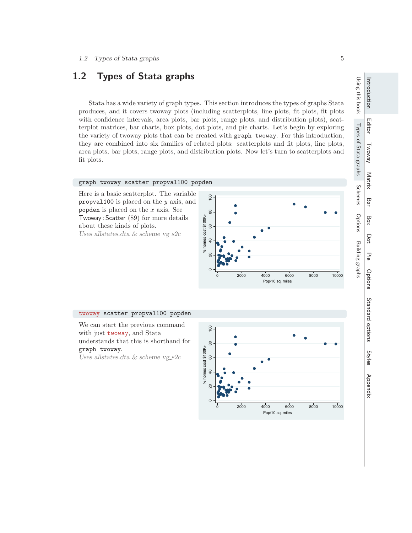## 1.2 Types of Stata graphs

Stata has a wide variety of graph types. This section introduces the types of graphs Stata produces, and it covers twoway plots (including scatterplots, line plots, fit plots, fit plots with confidence intervals, area plots, bar plots, range plots, and distribution plots), scatterplot matrices, bar charts, box plots, dot plots, and pie charts. Let's begin by exploring the variety of twoway plots that can be created with graph twoway. For this introduction, they are combined into six families of related plots: scatterplots and fit plots, line plots, area plots, bar plots, range plots, and distribution plots. Now let's turn to scatterplots and fit plots.

### graph twoway scatter propval100 popden

Here is a basic scatterplot. The variable propval100 is placed on the y axis, and popden is placed on the  $x$  axis. See Twoway : Scatter (89) for more details about these kinds of plots. *Uses allstates.dta & scheme vg s2c*

twoway scatter propval100 popden

We can start the previous command with just twoway, and Stata understands that this is shorthand for graph twoway.

*Uses allstates.dta & scheme vg s2c*





Using this book

Using this book

Types of Stata graphs

Types of Stata graphs

Schemes

Schemes

Options

Building graphs

**Building graphs**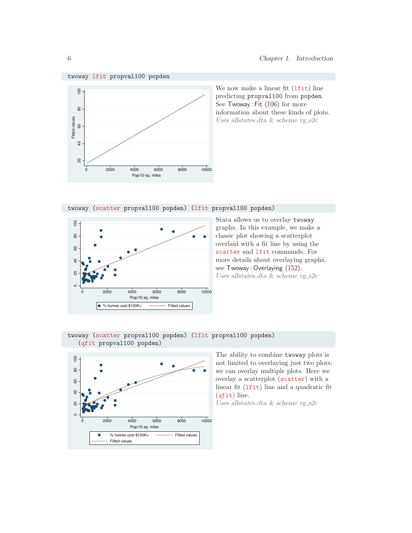

We now make a linear fit (lfit) line predicting propval100 from popden. See Twoway : Fit (106) for more information about these kinds of plots. *Uses allstates.dta & scheme vg s2c*





Stata allows us to overlay twoway graphs. In this example, we make a classic plot showing a scatterplot overlaid with a fit line by using the scatter and lfit commands. For more details about overlaying graphs, see Twoway : Overlaying (152). *Uses allstates.dta & scheme vg s2c*





The ability to combine twoway plots is not limited to overlaying just two plots; we can overlay multiple plots. Here we overlay a scatterplot (scatter) with a linear fit (1fit) line and a quadratic fit (qfit) line.

*Uses allstates.dta & scheme vg s2c*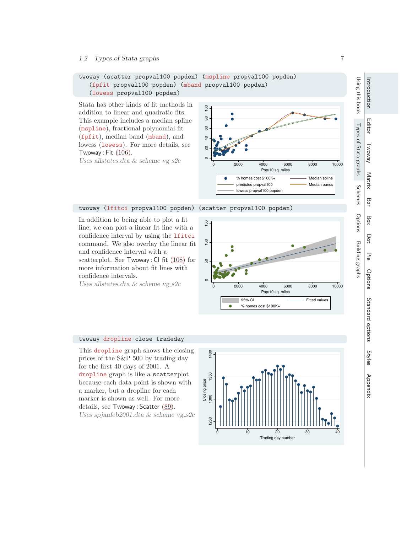#### *1.2 Types of Stata graphs* 7

#### twoway (scatter propval100 popden) (mspline propval100 popden) (fpfit propval100 popden) (mband propval100 popden) (lowess propval100 popden)

Stata has other kinds of fit methods in addition to linear and quadratic fits. This example includes a median spline (mspline), fractional polynomial fit (fpfit), median band (mband), and lowess (lowess). For more details, see Twoway : Fit  $(106)$ . **Example includes a median spline**<br>addition to linear and quadratic fits.<br>This example includes a median spline<br>(mspline), fractional polynomial fit<br>(fpfit), median band (mband), and<br>alowess (lowess). For more details, see



#### twoway (lfitci propval100 popden) (scatter propval100 popden)

In addition to being able to plot a fit line, we can plot a linear fit line with a confidence interval by using the lfitci command. We also overlay the linear fit and confidence interval with a scatterplot. See Twoway : CI fit (108) for more information about fit lines with confidence intervals.

*Uses allstates.dta & scheme vg s2c*



#### twoway dropline close tradeday

This dropline graph shows the closing prices of the S&P 500 by trading day for the first 40 days of 2001. A dropline graph is like a scatterplot because each data point is shown with a marker, but a dropline for each marker is shown as well. For more details, see Twoway : Scatter (89). *Uses spjanfeb2001.dta & scheme vg s2c*



Using this book

Using this book

Types of Stata graphs

Types of Stata graphs

Schemes

Schemes

Options

Building graphs

**Building graphs**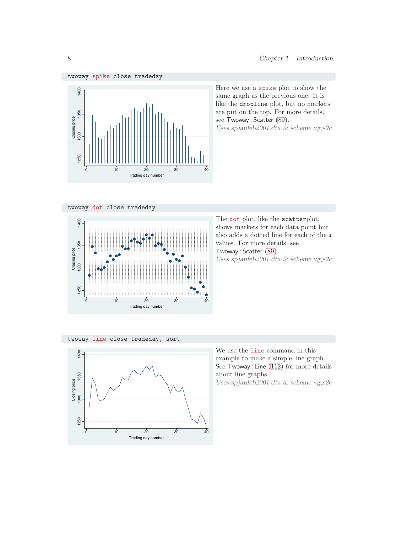twoway spike close tradeday



Here we use a spike plot to show the same graph as the previous one. It is like the dropline plot, but no markers are put on the top. For more details, see Twoway : Scatter (89). *Uses spjanfeb2001.dta & scheme vg s2c*

twoway dot close tradeday



The dot plot, like the scatterplot, shows markers for each data point but also adds a dotted line for each of the  $\boldsymbol{x}$ values. For more details, see Twoway : Scatter (89).

*Uses spjanfeb2001.dta & scheme vg s2c*





We use the line command in this example to make a simple line graph. See Twoway : Line (112) for more details about line graphs.

*Uses spjanfeb2001.dta & scheme vg s2c*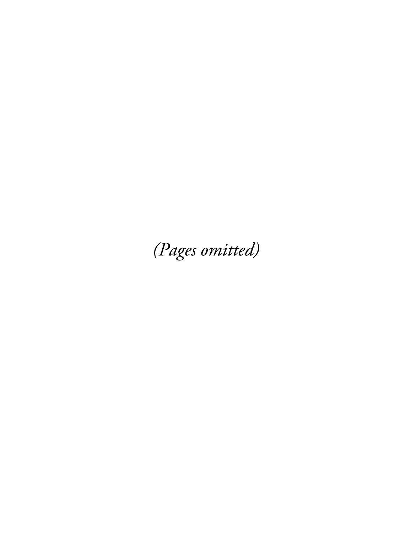(Pages omitted)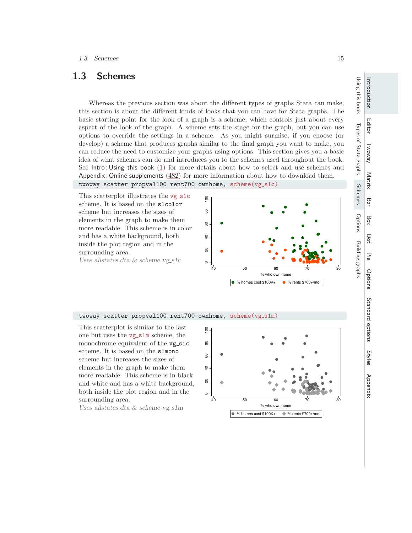### 1.3 Schemes

Whereas the previous section was about the different types of graphs Stata can make, this section is about the different kinds of looks that you can have for Stata graphs. The basic starting point for the look of a graph is a scheme, which controls just about every aspect of the look of the graph. A scheme sets the stage for the graph, but you can use options to override the settings in a scheme. As you might surmise, if you choose (or develop) a scheme that produces graphs similar to the final graph you want to make, you can reduce the need to customize your graphs using options. This section gives you a basic idea of what schemes can do and introduces you to the schemes used throughout the book. See Intro : Using this book (1) for more details about how to select and use schemes and Appendix : Online supplements (482) for more information about how to download them.

twoway scatter propval100 rent700 ownhome, scheme(vg\_s1c)

This scatterplot illustrates the  $\mathtt{vg\_s1c}$ scheme. It is based on the s1color scheme but increases the sizes of elements in the graph to make them more readable. This scheme is in color and has a white background, both inside the plot region and in the surrounding area. This scatterpot mustrates the vg\_s1c of a<br>scheme. It is based on the s1color<br>scheme but increases the sizes of of a<br>elements in the graph to make them<br>more readable. This scheme is in color<br>and has a white background, both



#### twoway scatter propval100 rent700 ownhome, scheme(vg\_s1m)

This scatterplot is similar to the last one but uses the  $vg_s1m$  scheme, the monochrome equivalent of the vg\_s1c scheme. It is based on the s1mono scheme but increases the sizes of elements in the graph to make them more readable. This scheme is in black and white and has a white background, both inside the plot region and in the surrounding area.

*Uses allstates.dta & scheme vg s1m*



Building graphs

Using this book

Types of Stata graphs

Schemes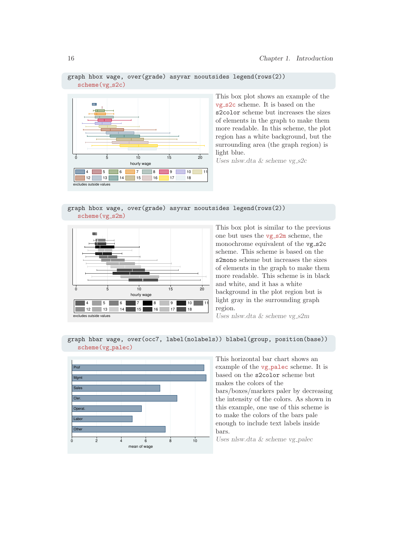

graph hbox wage, over(grade) asyvar nooutsides legend(rows(2)) scheme(vg\_s2c)

> This box plot shows an example of the vg s2c scheme. It is based on the s2color scheme but increases the sizes of elements in the graph to make them more readable. In this scheme, the plot region has a white background, but the surrounding area (the graph region) is light blue.

*Uses nlsw.dta & scheme vg s2c*

graph hbox wage, over(grade) asyvar nooutsides legend(rows(2))  $scheme(vg_s2m)$ 



This box plot is similar to the previous one but uses the  $vg_s2m$  scheme, the monochrome equivalent of the vg\_s2c scheme. This scheme is based on the s2mono scheme but increases the sizes of elements in the graph to make them more readable. This scheme is in black and white, and it has a white background in the plot region but is light gray in the surrounding graph region.

*Uses nlsw.dta & scheme vg s2m*





This horizontal bar chart shows an example of the vg palec scheme. It is based on the s2color scheme but makes the colors of the bars/boxes/markers paler by decreasing

the intensity of the colors. As shown in this example, one use of this scheme is to make the colors of the bars pale enough to include text labels inside bars.

*Uses nlsw.dta & scheme vg palec*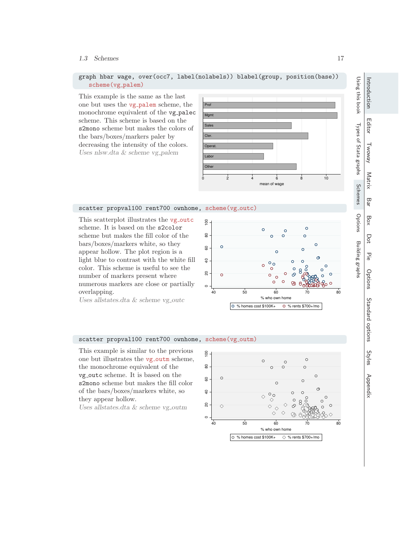#### *1.3 Schemes* 17

This example is the same as the last one but uses the vg palem scheme, the monochrome equivalent of the vg palec scheme. This scheme is based on the s2mono scheme but makes the colors of the bars/boxes/markers paler by decreasing the intensity of the colors. *Uses nlsw.dta & scheme vg palem*



#### scatter propval100 rent700 ownhome, scheme(vg\_outc)

This scatterplot illustrates the vg\_outc scheme. It is based on the s2color scheme but makes the fill color of the bars/boxes/markers white, so they appear hollow. The plot region is a light blue to contrast with the white fill color. This scheme is useful to see the number of markers present where numerous markers are close or partially overlapping.



*Uses allstates.dta & scheme vg outc*

#### scatter propval100 rent700 ownhome, scheme(vg\_outm)

This example is similar to the previous one but illustrates the vg\_outm scheme, the monochrome equivalent of the vg outc scheme. It is based on the s2mono scheme but makes the fill color of the bars/boxes/markers white, so they appear hollow.

*Uses allstates.dta & scheme vg outm*



Using this book

Using this book

Types of Stata graphs

Types of Stata graphs

Schemes

**Schemes** 

Options

Building graphs

**Building graphs**